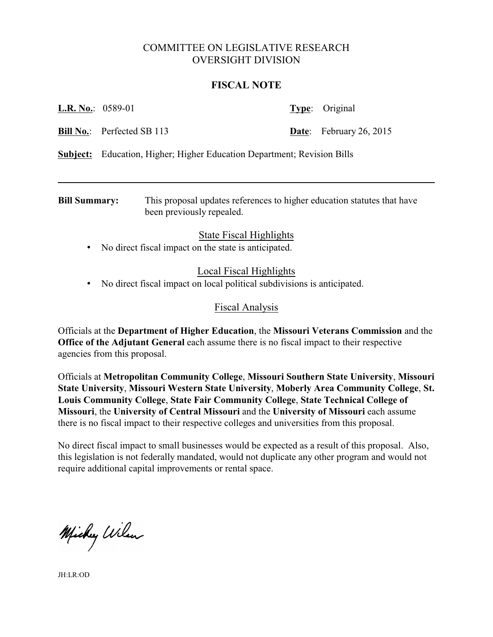# COMMITTEE ON LEGISLATIVE RESEARCH OVERSIGHT DIVISION

#### **FISCAL NOTE**

| <b>L.R. No.:</b> 0589-01 |                                                                                |  | <b>Type:</b> Original          |
|--------------------------|--------------------------------------------------------------------------------|--|--------------------------------|
|                          | <b>Bill No.:</b> Perfected SB 113                                              |  | <b>Date:</b> February 26, 2015 |
|                          | <b>Subject:</b> Education, Higher; Higher Education Department; Revision Bills |  |                                |

**Bill Summary:** This proposal updates references to higher education statutes that have been previously repealed.

### State Fiscal Highlights

• No direct fiscal impact on the state is anticipated.

# Local Fiscal Highlights

• No direct fiscal impact on local political subdivisions is anticipated.

### Fiscal Analysis

Officials at the **Department of Higher Education**, the **Missouri Veterans Commission** and the **Office of the Adjutant General** each assume there is no fiscal impact to their respective agencies from this proposal.

Officials at **Metropolitan Community College**, **Missouri Southern State University**, **Missouri State University**, **Missouri Western State University**, **Moberly Area Community College**, **St. Louis Community College**, **State Fair Community College**, **State Technical College of Missouri**, the **University of Central Missouri** and the **University of Missouri** each assume there is no fiscal impact to their respective colleges and universities from this proposal.

No direct fiscal impact to small businesses would be expected as a result of this proposal. Also, this legislation is not federally mandated, would not duplicate any other program and would not require additional capital improvements or rental space.

Michy Wilson

JH:LR:OD